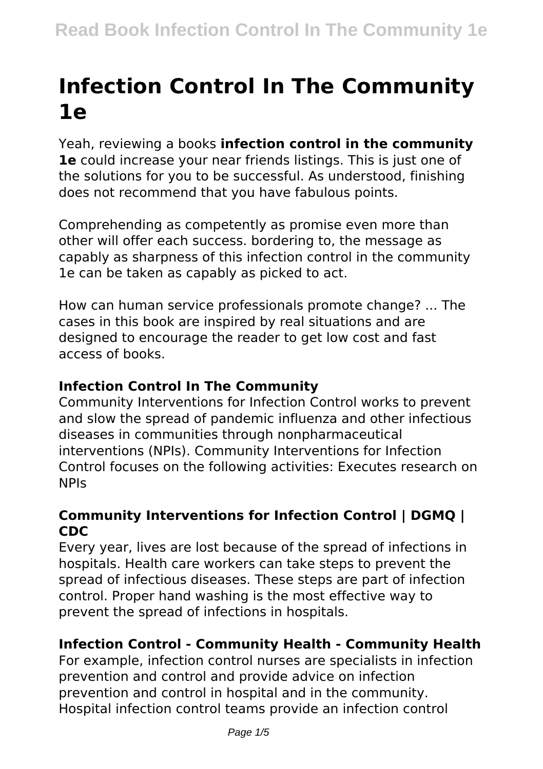# **Infection Control In The Community 1e**

Yeah, reviewing a books **infection control in the community 1e** could increase your near friends listings. This is just one of the solutions for you to be successful. As understood, finishing does not recommend that you have fabulous points.

Comprehending as competently as promise even more than other will offer each success. bordering to, the message as capably as sharpness of this infection control in the community 1e can be taken as capably as picked to act.

How can human service professionals promote change? ... The cases in this book are inspired by real situations and are designed to encourage the reader to get low cost and fast access of books.

#### **Infection Control In The Community**

Community Interventions for Infection Control works to prevent and slow the spread of pandemic influenza and other infectious diseases in communities through nonpharmaceutical interventions (NPIs). Community Interventions for Infection Control focuses on the following activities: Executes research on NPIs

#### **Community Interventions for Infection Control | DGMQ | CDC**

Every year, lives are lost because of the spread of infections in hospitals. Health care workers can take steps to prevent the spread of infectious diseases. These steps are part of infection control. Proper hand washing is the most effective way to prevent the spread of infections in hospitals.

### **Infection Control - Community Health - Community Health**

For example, infection control nurses are specialists in infection prevention and control and provide advice on infection prevention and control in hospital and in the community. Hospital infection control teams provide an infection control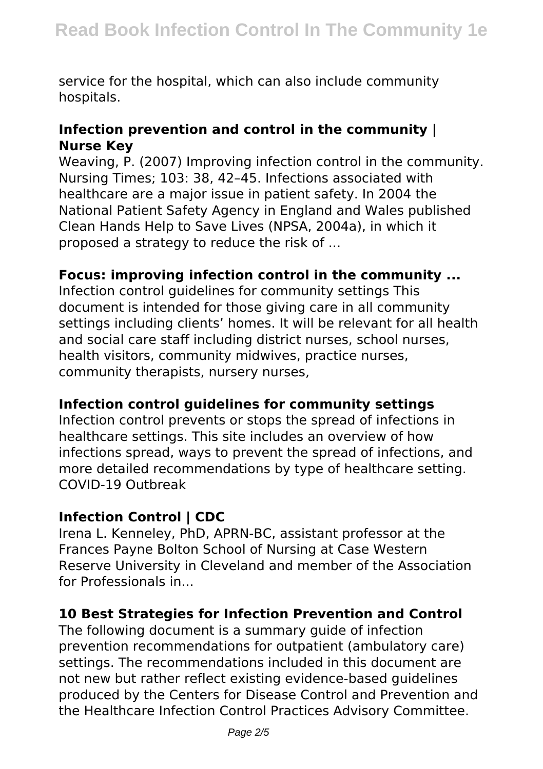service for the hospital, which can also include community hospitals.

#### **Infection prevention and control in the community | Nurse Key**

Weaving, P. (2007) Improving infection control in the community. Nursing Times; 103: 38, 42–45. Infections associated with healthcare are a major issue in patient safety. In 2004 the National Patient Safety Agency in England and Wales published Clean Hands Help to Save Lives (NPSA, 2004a), in which it proposed a strategy to reduce the risk of ...

#### **Focus: improving infection control in the community ...**

Infection control guidelines for community settings This document is intended for those giving care in all community settings including clients' homes. It will be relevant for all health and social care staff including district nurses, school nurses, health visitors, community midwives, practice nurses, community therapists, nursery nurses,

#### **Infection control guidelines for community settings**

Infection control prevents or stops the spread of infections in healthcare settings. This site includes an overview of how infections spread, ways to prevent the spread of infections, and more detailed recommendations by type of healthcare setting. COVID-19 Outbreak

#### **Infection Control | CDC**

Irena L. Kenneley, PhD, APRN-BC, assistant professor at the Frances Payne Bolton School of Nursing at Case Western Reserve University in Cleveland and member of the Association for Professionals in...

#### **10 Best Strategies for Infection Prevention and Control**

The following document is a summary guide of infection prevention recommendations for outpatient (ambulatory care) settings. The recommendations included in this document are not new but rather reflect existing evidence-based guidelines produced by the Centers for Disease Control and Prevention and the Healthcare Infection Control Practices Advisory Committee.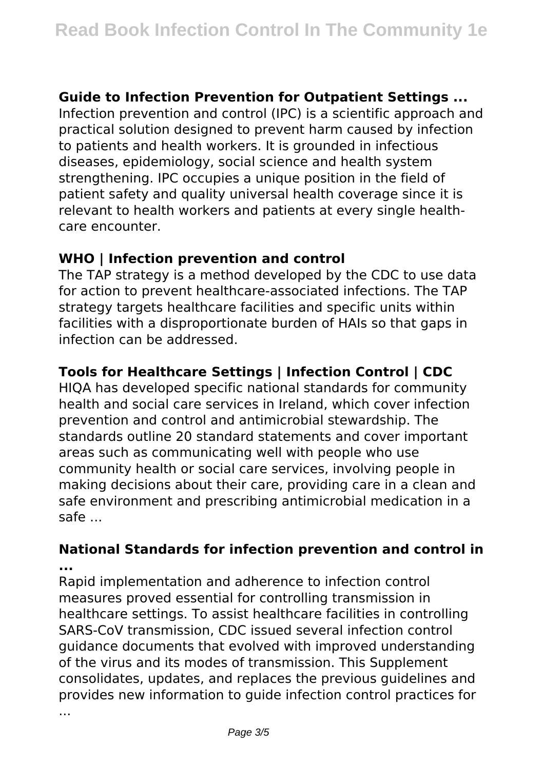#### **Guide to Infection Prevention for Outpatient Settings ...**

Infection prevention and control (IPC) is a scientific approach and practical solution designed to prevent harm caused by infection to patients and health workers. It is grounded in infectious diseases, epidemiology, social science and health system strengthening. IPC occupies a unique position in the field of patient safety and quality universal health coverage since it is relevant to health workers and patients at every single healthcare encounter.

#### **WHO | Infection prevention and control**

The TAP strategy is a method developed by the CDC to use data for action to prevent healthcare-associated infections. The TAP strategy targets healthcare facilities and specific units within facilities with a disproportionate burden of HAIs so that gaps in infection can be addressed.

#### **Tools for Healthcare Settings | Infection Control | CDC**

HIQA has developed specific national standards for community health and social care services in Ireland, which cover infection prevention and control and antimicrobial stewardship. The standards outline 20 standard statements and cover important areas such as communicating well with people who use community health or social care services, involving people in making decisions about their care, providing care in a clean and safe environment and prescribing antimicrobial medication in a safe ...

#### **National Standards for infection prevention and control in ...**

Rapid implementation and adherence to infection control measures proved essential for controlling transmission in healthcare settings. To assist healthcare facilities in controlling SARS-CoV transmission, CDC issued several infection control guidance documents that evolved with improved understanding of the virus and its modes of transmission. This Supplement consolidates, updates, and replaces the previous guidelines and provides new information to guide infection control practices for

...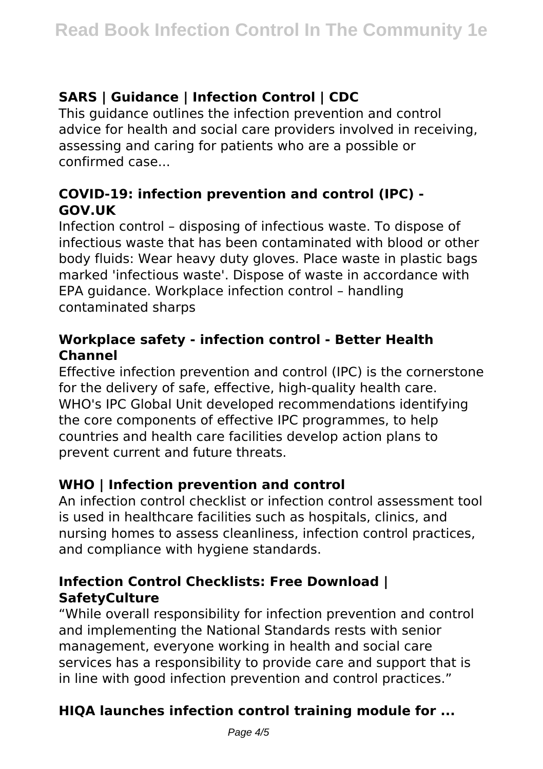## **SARS | Guidance | Infection Control | CDC**

This guidance outlines the infection prevention and control advice for health and social care providers involved in receiving, assessing and caring for patients who are a possible or confirmed case...

## **COVID-19: infection prevention and control (IPC) - GOV.UK**

Infection control – disposing of infectious waste. To dispose of infectious waste that has been contaminated with blood or other body fluids: Wear heavy duty gloves. Place waste in plastic bags marked 'infectious waste'. Dispose of waste in accordance with EPA guidance. Workplace infection control – handling contaminated sharps

## **Workplace safety - infection control - Better Health Channel**

Effective infection prevention and control (IPC) is the cornerstone for the delivery of safe, effective, high-quality health care. WHO's IPC Global Unit developed recommendations identifying the core components of effective IPC programmes, to help countries and health care facilities develop action plans to prevent current and future threats.

## **WHO | Infection prevention and control**

An infection control checklist or infection control assessment tool is used in healthcare facilities such as hospitals, clinics, and nursing homes to assess cleanliness, infection control practices, and compliance with hygiene standards.

## **Infection Control Checklists: Free Download | SafetyCulture**

"While overall responsibility for infection prevention and control and implementing the National Standards rests with senior management, everyone working in health and social care services has a responsibility to provide care and support that is in line with good infection prevention and control practices."

## **HIQA launches infection control training module for ...**